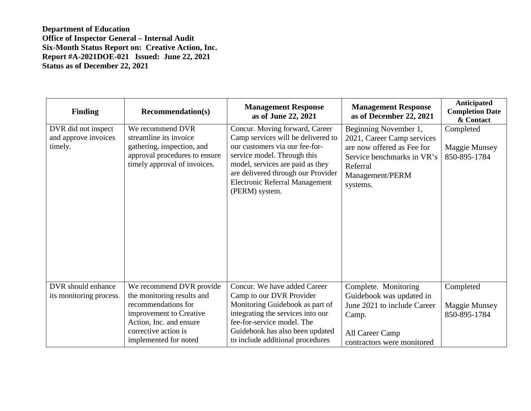**Department of Education Office of Inspector General – Internal Audit Six-Month Status Report on: Creative Action, Inc. Report #A-2021DOE-021 Issued: June 22, 2021 Status as of December 22, 2021**

| <b>Finding</b>                                         | <b>Recommendation(s)</b>                                                                                                                                                             | <b>Management Response</b><br>as of June 22, 2021                                                                                                                                                                                                                          | <b>Management Response</b><br>as of December 22, 2021                                                                                                      | Anticipated<br><b>Completion Date</b><br>& Contact |
|--------------------------------------------------------|--------------------------------------------------------------------------------------------------------------------------------------------------------------------------------------|----------------------------------------------------------------------------------------------------------------------------------------------------------------------------------------------------------------------------------------------------------------------------|------------------------------------------------------------------------------------------------------------------------------------------------------------|----------------------------------------------------|
| DVR did not inspect<br>and approve invoices<br>timely. | We recommend DVR<br>streamline its invoice<br>gathering, inspection, and<br>approval procedures to ensure<br>timely approval of invoices.                                            | Concur. Moving forward, Career<br>Camp services will be delivered to<br>our customers via our fee-for-<br>service model. Through this<br>model, services are paid as they<br>are delivered through our Provider<br><b>Electronic Referral Management</b><br>(PERM) system. | Beginning November 1,<br>2021, Career Camp services<br>are now offered as Fee for<br>Service benchmarks in VR's<br>Referral<br>Management/PERM<br>systems. | Completed<br><b>Maggie Munsey</b><br>850-895-1784  |
| DVR should enhance<br>its monitoring process.          | We recommend DVR provide<br>the monitoring results and<br>recommendations for<br>improvement to Creative<br>Action, Inc. and ensure<br>corrective action is<br>implemented for noted | Concur. We have added Career<br>Camp to our DVR Provider<br>Monitoring Guidebook as part of<br>integrating the services into our<br>fee-for-service model. The<br>Guidebook has also been updated<br>to include additional procedures                                      | Complete. Monitoring<br>Guidebook was updated in<br>June 2021 to include Career<br>Camp.<br>All Career Camp<br>contractors were monitored                  | Completed<br><b>Maggie Munsey</b><br>850-895-1784  |